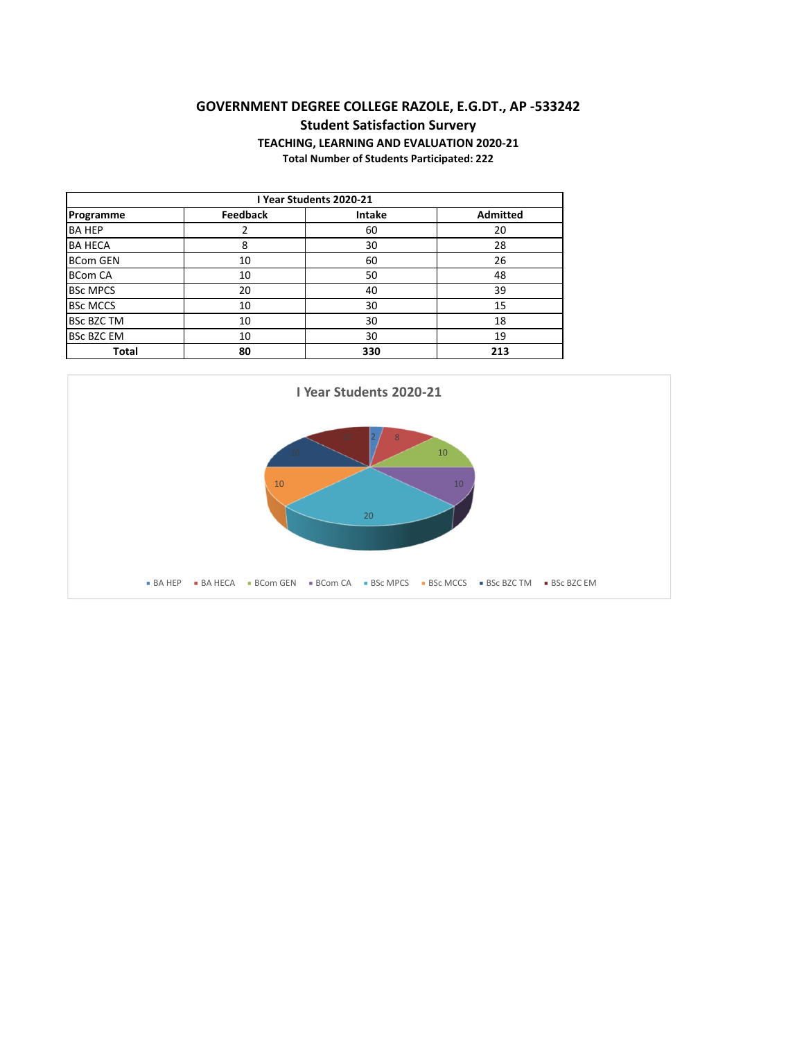## **GOVERNMENT DEGREE COLLEGE RAZOLE, E.G.DT., AP -533242 Student Satisfaction Survery TEACHING, LEARNING AND EVALUATION 2020-21 Total Number of Students Participated: 222**

| I Year Students 2020-21 |                 |        |                 |  |  |
|-------------------------|-----------------|--------|-----------------|--|--|
| Programme               | <b>Feedback</b> | Intake | <b>Admitted</b> |  |  |
| <b>BA HEP</b>           | 2               | 60     | 20              |  |  |
| <b>BA HECA</b>          | 8               | 30     | 28              |  |  |
| <b>BCom GEN</b>         | 10              | 60     | 26              |  |  |
| <b>BCom CA</b>          | 10              | 50     | 48              |  |  |
| <b>BSc MPCS</b>         | 20              | 40     | 39              |  |  |
| <b>BSC MCCS</b>         | 10              | 30     | 15              |  |  |
| <b>BSc BZC TM</b><br>10 |                 | 30     | 18              |  |  |
| <b>BSc BZC EM</b><br>10 |                 | 30     | 19              |  |  |
| Total                   | 80              | 330    | 213             |  |  |

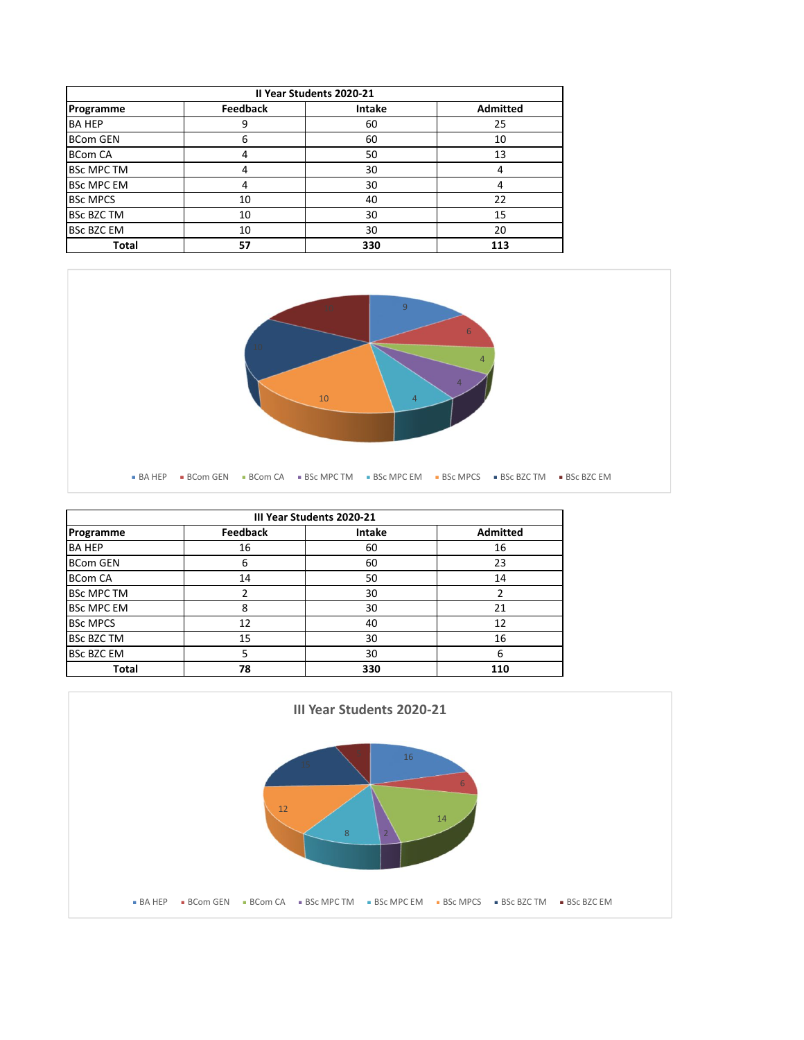| Il Year Students 2020-21 |                 |        |                 |  |  |
|--------------------------|-----------------|--------|-----------------|--|--|
| Programme                | <b>Feedback</b> | Intake | <b>Admitted</b> |  |  |
| <b>BA HEP</b>            | 9               | 60     | 25              |  |  |
| <b>BCom GEN</b>          | 6               | 60     | 10              |  |  |
| <b>BCom CA</b>           | 4               | 50     | 13              |  |  |
| <b>BSc MPC TM</b>        | 4               | 30     | 4               |  |  |
| <b>BSc MPC EM</b>        | 4               | 30     | 4               |  |  |
| <b>BSc MPCS</b>          | 10              | 40     | 22              |  |  |
| <b>BSc BZC TM</b><br>10  |                 | 30     | 15              |  |  |
| <b>BSc BZC EM</b><br>10  |                 | 30     | 20              |  |  |
| <b>Total</b>             | 57              | 330    | 113             |  |  |



| III Year Students 2020-21 |                 |               |                 |  |  |
|---------------------------|-----------------|---------------|-----------------|--|--|
| Programme                 | <b>Feedback</b> | <b>Intake</b> | <b>Admitted</b> |  |  |
| <b>BA HEP</b>             | 16              | 60            | 16              |  |  |
| <b>BCom GEN</b>           | 6               | 60            | 23              |  |  |
| <b>BCom CA</b>            | 14<br>50        |               | 14              |  |  |
| <b>BSc MPC TM</b>         |                 | 30            |                 |  |  |
| <b>BSc MPC EM</b><br>8    |                 | 30            | 21              |  |  |
| <b>BSc MPCS</b>           | 12              | 40            | 12              |  |  |
| <b>BSc BZC TM</b><br>15   |                 | 30            | 16              |  |  |
| <b>BSC BZC EM</b><br>5    |                 | 30            | 6               |  |  |
| Total<br>78               |                 | 330           | 110             |  |  |

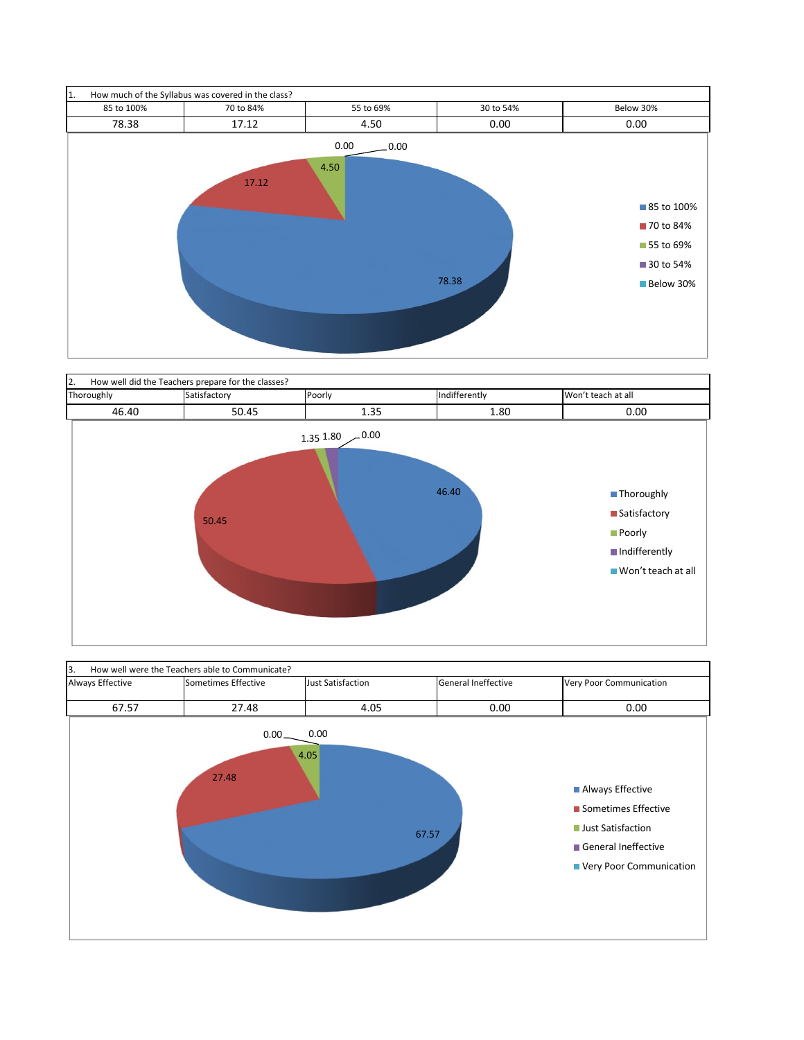



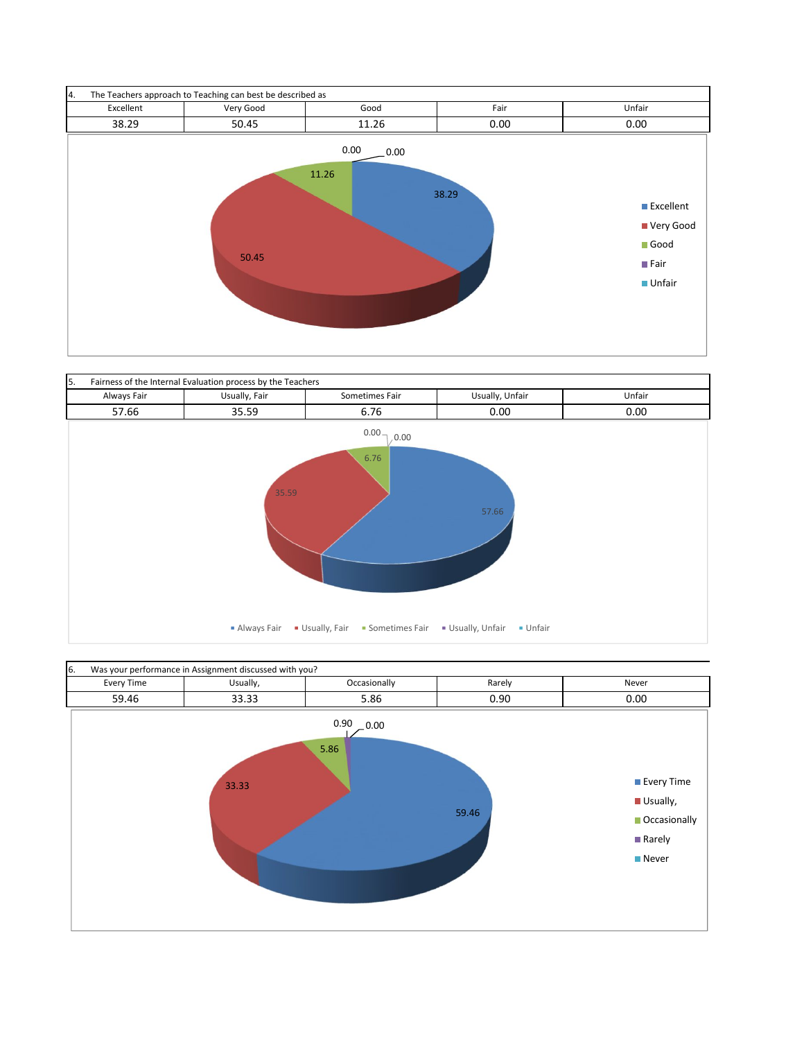



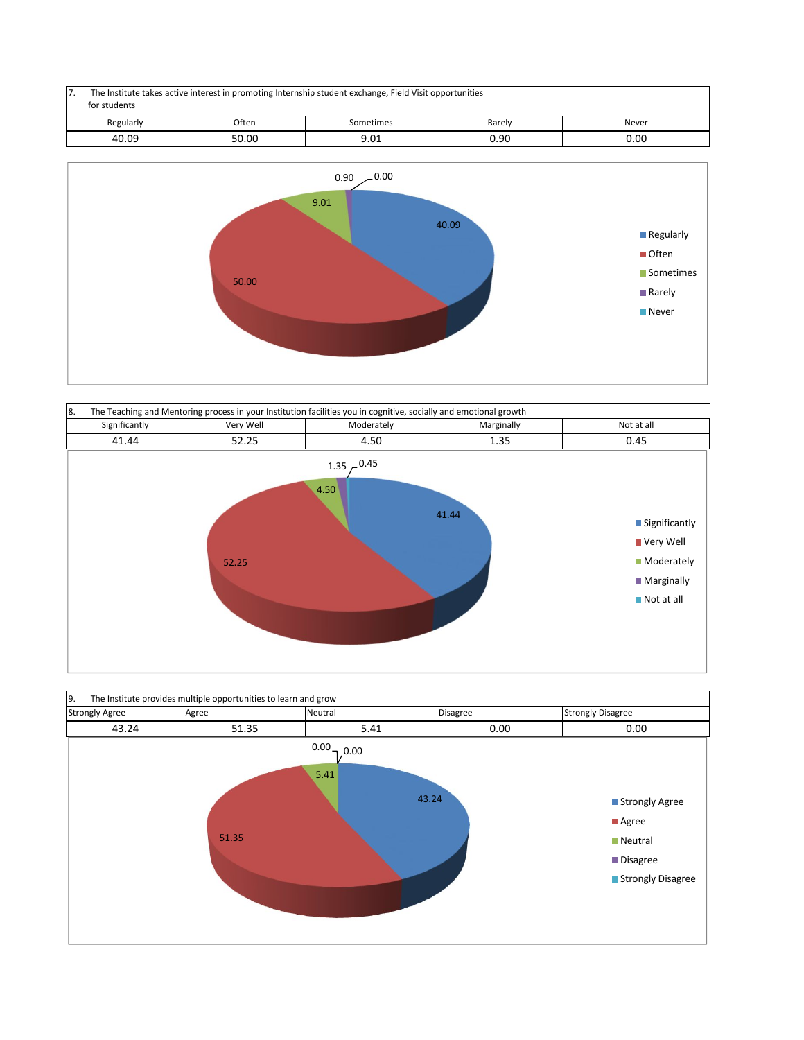| 7. | The Institute takes active interest in promoting Internship student exchange, Field Visit opportunities<br>for students |       |           |        |       |  |
|----|-------------------------------------------------------------------------------------------------------------------------|-------|-----------|--------|-------|--|
|    | Regularly                                                                                                               | Often | Sometimes | Rarely | Never |  |
|    | 40.09                                                                                                                   | 50.00 | 9.01      | 0.90   | 0.00  |  |





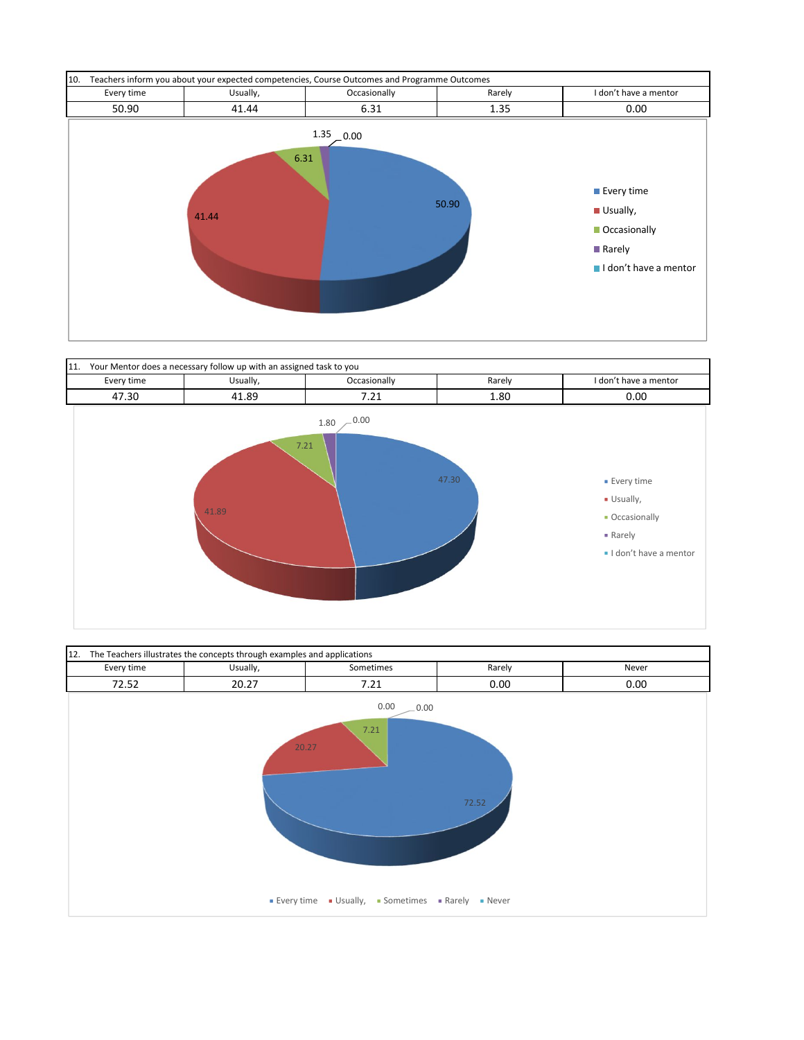



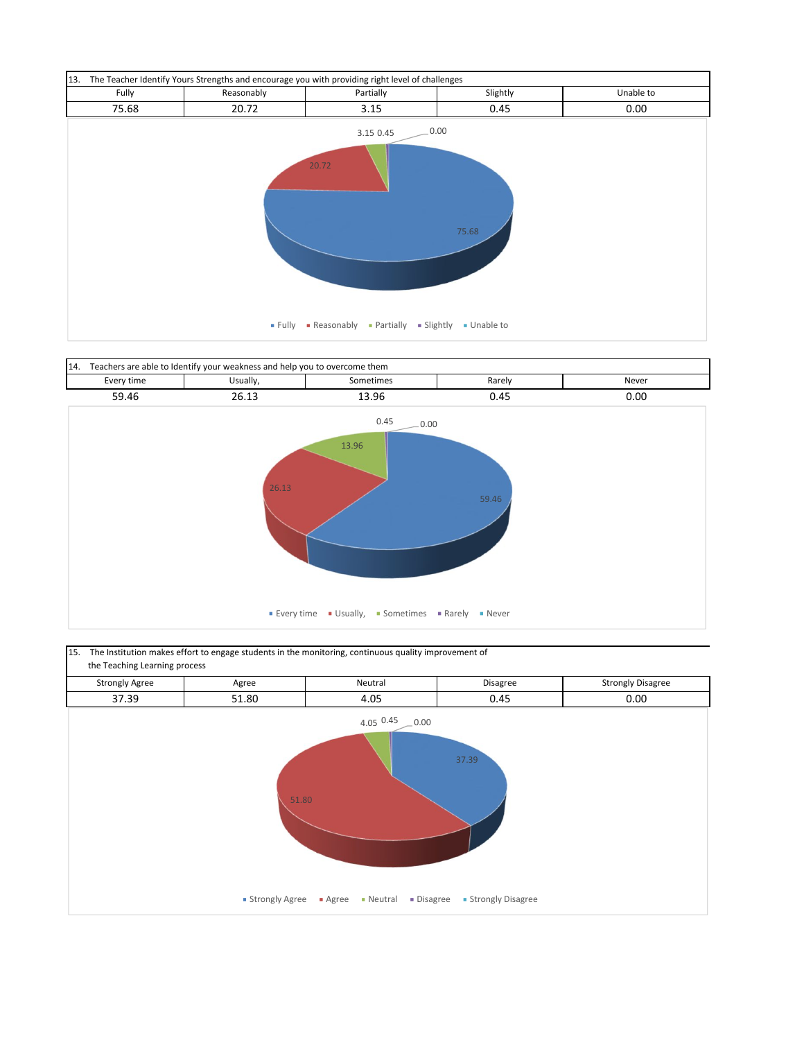



15. The Institution makes effort to engage students in the monitoring, continuous quality improvement of the Teaching Learning process

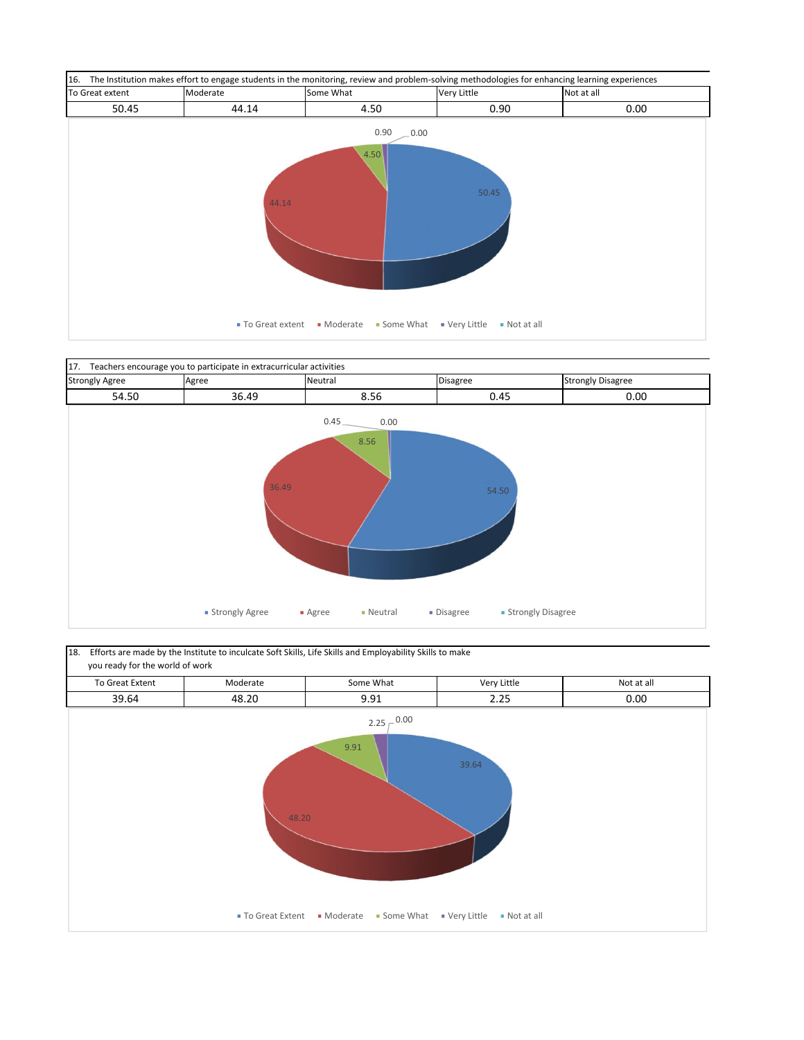



18. Efforts are made by the Institute to inculcate Soft Skills, Life Skills and Employability Skills to make you ready for the world of work